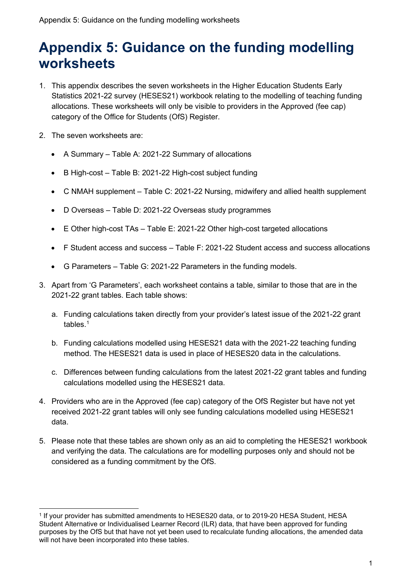# **Appendix 5: Guidance on the funding modelling worksheets**

- 1. This appendix describes the seven worksheets in the Higher Education Students Early Statistics 2021-22 survey (HESES21) workbook relating to the modelling of teaching funding allocations. These worksheets will only be visible to providers in the Approved (fee cap) category of the Office for Students (OfS) Register.
- 2. The seven worksheets are:
	- A Summary Table A: 2021-22 Summary of allocations
	- B High-cost Table B: 2021-22 High-cost subject funding
	- C NMAH supplement Table C: 2021-22 Nursing, midwifery and allied health supplement
	- D Overseas Table D: 2021-22 Overseas study programmes
	- E Other high-cost TAs Table E: 2021-22 Other high-cost targeted allocations
	- F Student access and success Table F: 2021-22 Student access and success allocations
	- G Parameters Table G: 2021-22 Parameters in the funding models.
- 3. Apart from 'G Parameters', each worksheet contains a table, similar to those that are in the 2021-22 grant tables. Each table shows:
	- a. Funding calculations taken directly from your provider's latest issue of the 2021-22 grant tables. [1](#page-0-0)
	- b. Funding calculations modelled using HESES21 data with the 2021-22 teaching funding method. The HESES21 data is used in place of HESES20 data in the calculations.
	- c. Differences between funding calculations from the latest 2021-22 grant tables and funding calculations modelled using the HESES21 data.
- 4. Providers who are in the Approved (fee cap) category of the OfS Register but have not yet received 2021-22 grant tables will only see funding calculations modelled using HESES21 data.
- 5. Please note that these tables are shown only as an aid to completing the HESES21 workbook and verifying the data. The calculations are for modelling purposes only and should not be considered as a funding commitment by the OfS.

<span id="page-0-0"></span><sup>1</sup> If your provider has submitted amendments to HESES20 data, or to 2019-20 HESA Student, HESA Student Alternative or Individualised Learner Record (ILR) data, that have been approved for funding purposes by the OfS but that have not yet been used to recalculate funding allocations, the amended data will not have been incorporated into these tables.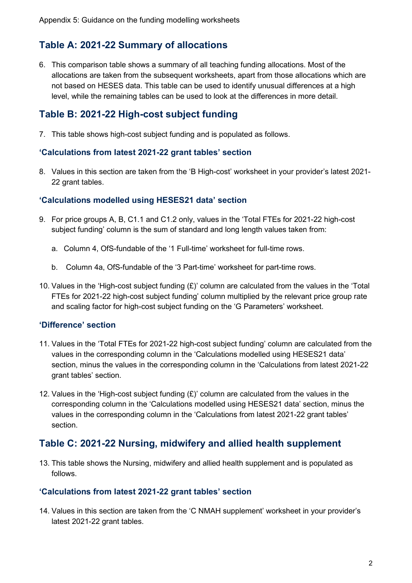# **Table A: 2021-22 Summary of allocations**

6. This comparison table shows a summary of all teaching funding allocations. Most of the allocations are taken from the subsequent worksheets, apart from those allocations which are not based on HESES data. This table can be used to identify unusual differences at a high level, while the remaining tables can be used to look at the differences in more detail.

## **Table B: 2021-22 High-cost subject funding**

7. This table shows high-cost subject funding and is populated as follows.

#### **'Calculations from latest 2021-22 grant tables' section**

8. Values in this section are taken from the 'B High-cost' worksheet in your provider's latest 2021- 22 grant tables.

#### **'Calculations modelled using HESES21 data' section**

- 9. For price groups A, B, C1.1 and C1.2 only, values in the 'Total FTEs for 2021-22 high-cost subject funding' column is the sum of standard and long length values taken from:
	- a. Column 4, OfS-fundable of the '1 Full-time' worksheet for full-time rows.
	- b. Column 4a, OfS-fundable of the '3 Part-time' worksheet for part-time rows.
- 10. Values in the 'High-cost subject funding (£)' column are calculated from the values in the 'Total FTEs for 2021-22 high-cost subject funding' column multiplied by the relevant price group rate and scaling factor for high-cost subject funding on the 'G Parameters' worksheet.

#### **'Difference' section**

- 11. Values in the 'Total FTEs for 2021-22 high-cost subject funding' column are calculated from the values in the corresponding column in the 'Calculations modelled using HESES21 data' section, minus the values in the corresponding column in the 'Calculations from latest 2021-22 grant tables' section.
- 12. Values in the 'High-cost subject funding (£)' column are calculated from the values in the corresponding column in the 'Calculations modelled using HESES21 data' section, minus the values in the corresponding column in the 'Calculations from latest 2021-22 grant tables' section.

## **Table C: 2021-22 Nursing, midwifery and allied health supplement**

13. This table shows the Nursing, midwifery and allied health supplement and is populated as follows.

#### **'Calculations from latest 2021-22 grant tables' section**

14. Values in this section are taken from the 'C NMAH supplement' worksheet in your provider's latest 2021-22 grant tables.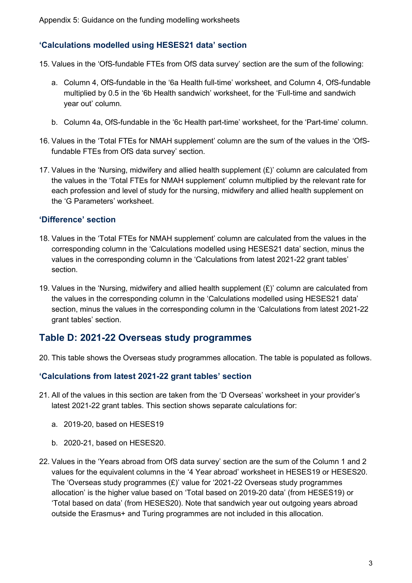#### **'Calculations modelled using HESES21 data' section**

- 15. Values in the 'OfS-fundable FTEs from OfS data survey' section are the sum of the following:
	- a. Column 4, OfS-fundable in the '6a Health full-time' worksheet, and Column 4, OfS-fundable multiplied by 0.5 in the '6b Health sandwich' worksheet, for the 'Full-time and sandwich year out' column.
	- b. Column 4a, OfS-fundable in the '6c Health part-time' worksheet, for the 'Part-time' column.
- 16. Values in the 'Total FTEs for NMAH supplement' column are the sum of the values in the 'OfSfundable FTEs from OfS data survey' section.
- 17. Values in the 'Nursing, midwifery and allied health supplement (£)' column are calculated from the values in the 'Total FTEs for NMAH supplement' column multiplied by the relevant rate for each profession and level of study for the nursing, midwifery and allied health supplement on the 'G Parameters' worksheet.

#### **'Difference' section**

- 18. Values in the 'Total FTEs for NMAH supplement' column are calculated from the values in the corresponding column in the 'Calculations modelled using HESES21 data' section, minus the values in the corresponding column in the 'Calculations from latest 2021-22 grant tables' section.
- 19. Values in the 'Nursing, midwifery and allied health supplement (£)' column are calculated from the values in the corresponding column in the 'Calculations modelled using HESES21 data' section, minus the values in the corresponding column in the 'Calculations from latest 2021-22 grant tables' section.

## **Table D: 2021-22 Overseas study programmes**

20. This table shows the Overseas study programmes allocation. The table is populated as follows.

#### **'Calculations from latest 2021-22 grant tables' section**

- 21. All of the values in this section are taken from the 'D Overseas' worksheet in your provider's latest 2021-22 grant tables. This section shows separate calculations for:
	- a. 2019-20, based on HESES19
	- b. 2020-21, based on HESES20.
- 22. Values in the 'Years abroad from OfS data survey' section are the sum of the Column 1 and 2 values for the equivalent columns in the '4 Year abroad' worksheet in HESES19 or HESES20. The 'Overseas study programmes (£)' value for '2021-22 Overseas study programmes allocation' is the higher value based on 'Total based on 2019-20 data' (from HESES19) or 'Total based on data' (from HESES20). Note that sandwich year out outgoing years abroad outside the Erasmus+ and Turing programmes are not included in this allocation.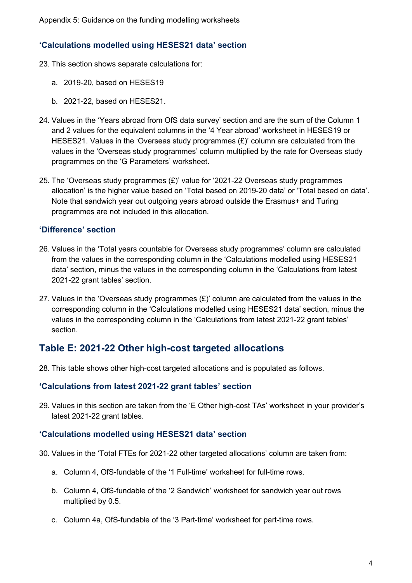#### **'Calculations modelled using HESES21 data' section**

- 23. This section shows separate calculations for:
	- a. 2019-20, based on HESES19
	- b. 2021-22, based on HESES21.
- 24. Values in the 'Years abroad from OfS data survey' section and are the sum of the Column 1 and 2 values for the equivalent columns in the '4 Year abroad' worksheet in HESES19 or HESES21. Values in the 'Overseas study programmes  $(E)$ ' column are calculated from the values in the 'Overseas study programmes' column multiplied by the rate for Overseas study programmes on the 'G Parameters' worksheet.
- 25. The 'Overseas study programmes  $(E)$ ' value for '2021-22 Overseas study programmes allocation' is the higher value based on 'Total based on 2019-20 data' or 'Total based on data'. Note that sandwich year out outgoing years abroad outside the Erasmus+ and Turing programmes are not included in this allocation.

#### **'Difference' section**

- 26. Values in the 'Total years countable for Overseas study programmes' column are calculated from the values in the corresponding column in the 'Calculations modelled using HESES21 data' section, minus the values in the corresponding column in the 'Calculations from latest 2021-22 grant tables' section.
- 27. Values in the 'Overseas study programmes  $(E)$ ' column are calculated from the values in the corresponding column in the 'Calculations modelled using HESES21 data' section, minus the values in the corresponding column in the 'Calculations from latest 2021-22 grant tables' section.

## **Table E: 2021-22 Other high-cost targeted allocations**

28. This table shows other high-cost targeted allocations and is populated as follows.

#### **'Calculations from latest 2021-22 grant tables' section**

29. Values in this section are taken from the 'E Other high-cost TAs' worksheet in your provider's latest 2021-22 grant tables.

#### **'Calculations modelled using HESES21 data' section**

- 30. Values in the 'Total FTEs for 2021-22 other targeted allocations' column are taken from:
	- a. Column 4, OfS-fundable of the '1 Full-time' worksheet for full-time rows.
	- b. Column 4, OfS-fundable of the '2 Sandwich' worksheet for sandwich year out rows multiplied by 0.5.
	- c. Column 4a, OfS-fundable of the '3 Part-time' worksheet for part-time rows.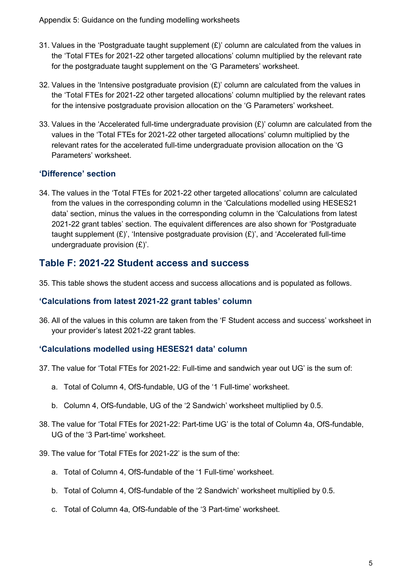- 31. Values in the 'Postgraduate taught supplement  $(E)$ ' column are calculated from the values in the 'Total FTEs for 2021-22 other targeted allocations' column multiplied by the relevant rate for the postgraduate taught supplement on the 'G Parameters' worksheet.
- 32. Values in the 'Intensive postgraduate provision  $(E)$ ' column are calculated from the values in the 'Total FTEs for 2021-22 other targeted allocations' column multiplied by the relevant rates for the intensive postgraduate provision allocation on the 'G Parameters' worksheet.
- 33. Values in the 'Accelerated full-time undergraduate provision  $(E)$ ' column are calculated from the values in the 'Total FTEs for 2021-22 other targeted allocations' column multiplied by the relevant rates for the accelerated full-time undergraduate provision allocation on the 'G Parameters' worksheet.

#### **'Difference' section**

34. The values in the 'Total FTEs for 2021-22 other targeted allocations' column are calculated from the values in the corresponding column in the 'Calculations modelled using HESES21 data' section, minus the values in the corresponding column in the 'Calculations from latest 2021-22 grant tables' section. The equivalent differences are also shown for 'Postgraduate taught supplement  $(E)$ ', 'Intensive postgraduate provision  $(E)$ ', and 'Accelerated full-time undergraduate provision (£)'.

## **Table F: 2021-22 Student access and success**

35. This table shows the student access and success allocations and is populated as follows.

#### **'Calculations from latest 2021-22 grant tables' column**

36. All of the values in this column are taken from the 'F Student access and success' worksheet in your provider's latest 2021-22 grant tables.

## **'Calculations modelled using HESES21 data' column**

- 37. The value for 'Total FTEs for 2021-22: Full-time and sandwich year out UG' is the sum of:
	- a. Total of Column 4, OfS-fundable, UG of the '1 Full-time' worksheet.
	- b. Column 4, OfS-fundable, UG of the '2 Sandwich' worksheet multiplied by 0.5.
- 38. The value for 'Total FTEs for 2021-22: Part-time UG' is the total of Column 4a, OfS-fundable, UG of the '3 Part-time' worksheet.
- 39. The value for 'Total FTEs for 2021-22' is the sum of the:
	- a. Total of Column 4, OfS-fundable of the '1 Full-time' worksheet.
	- b. Total of Column 4, OfS-fundable of the '2 Sandwich' worksheet multiplied by 0.5.
	- c. Total of Column 4a, OfS-fundable of the '3 Part-time' worksheet.